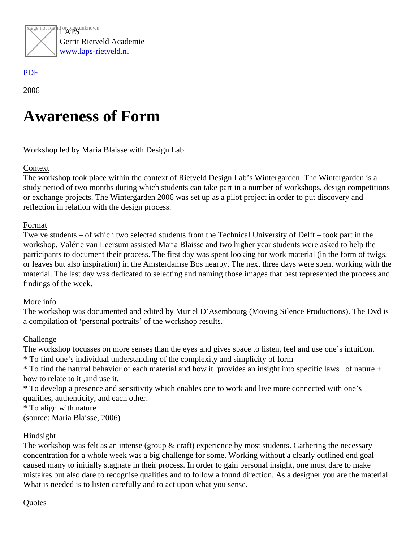

## [PDF](/web/sites/laps-rietveld.nl/www/wp-content/plugins/press-to-pdf/../../../wp-content/plugins/press-to-pdf/)

2006

# Awareness of Form

Workshop led by Maria Blaisse with Design Lab

## **Context**

The workshop took place within the context of Rietveld Design Lab's Wintergarden. The Wintergarden is a study period of two months during which students can take part in a number of workshops, design competitio or exchange projects. The Wintergarden 2006 was set up as a pilot project in order to put discovery and reflection in relation with the design process.

#### Format

Twelve students – of which two selected students from the Technical University of Delft – took part in the workshop. Valérie van Leersum assisted Maria Blaisse and two higher year students were asked to help the participants to document their process. The first day was spent looking for work material (in the form of twigs, or leaves but also inspiration) in the Amsterdamse Bos nearby. The next three days were spent working with material. The last day was dedicated to selecting and naming those images that best represented the process findings of the week.

#### More info

The workshop was documented and edited by Muriel D'Asembourg (Moving Silence Productions). The Dvd is a compilation of 'personal portraits' of the workshop results.

## **Challenge**

The workshop focusses on more senses than the eyes and gives space to listen, feel and use one's intuition. \* To find one's individual understanding of the complexity and simplicity of form

\* To find the natural behavior of each material and how it provides an insight into specific laws of nature + how to relate to it ,and use it.

\* To develop a presence and sensitivity which enables one to work and live more connected with one's qualities, authenticity, and each other.

\* To align with nature

(source: Maria Blaisse, 2006)

## Hindsight

The workshop was felt as an intense (group & craft) experience by most students. Gathering the necessary concentration for a whole week was a big challenge for some. Working without a clearly outlined end goal caused many to initially stagnate in their process. In order to gain personal insight, one must dare to make mistakes but also dare to recognise qualities and to follow a found direction. As a designer you are the materi What is needed is to listen carefully and to act upon what you sense.

## **Quotes**